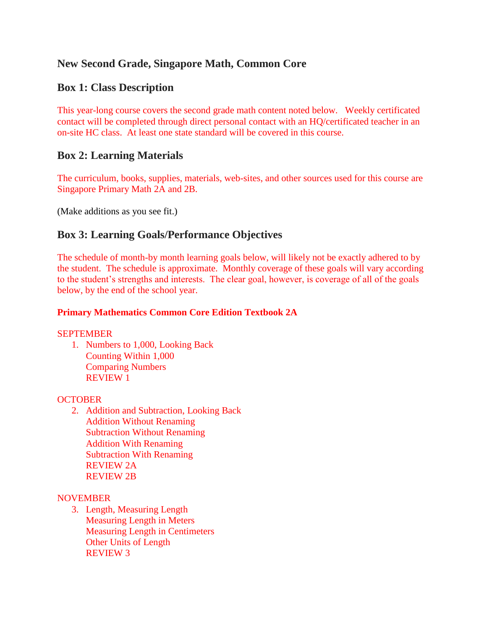# **New Second Grade, Singapore Math, Common Core**

## **Box 1: Class Description**

This year-long course covers the second grade math content noted below. Weekly certificated contact will be completed through direct personal contact with an HQ/certificated teacher in an on-site HC class. At least one state standard will be covered in this course.

## **Box 2: Learning Materials**

The curriculum, books, supplies, materials, web-sites, and other sources used for this course are Singapore Primary Math 2A and 2B.

(Make additions as you see fit.)

## **Box 3: Learning Goals/Performance Objectives**

The schedule of month-by month learning goals below, will likely not be exactly adhered to by the student. The schedule is approximate. Monthly coverage of these goals will vary according to the student's strengths and interests. The clear goal, however, is coverage of all of the goals below, by the end of the school year.

## **Primary Mathematics Common Core Edition Textbook 2A**

### **SEPTEMBER**

1. Numbers to 1,000, Looking Back Counting Within 1,000 Comparing Numbers REVIEW 1

### **OCTOBER**

2. Addition and Subtraction, Looking Back Addition Without Renaming Subtraction Without Renaming Addition With Renaming Subtraction With Renaming REVIEW 2A REVIEW 2B

### **NOVEMBER**

3. Length, Measuring Length Measuring Length in Meters Measuring Length in Centimeters Other Units of Length REVIEW 3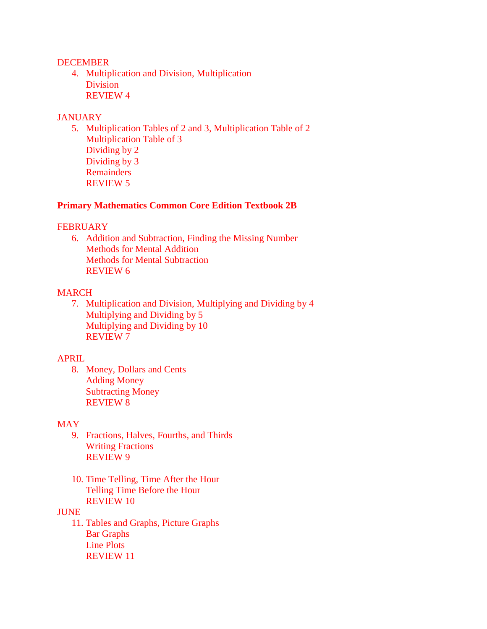#### **DECEMBER**

4. Multiplication and Division, Multiplication **Division** REVIEW 4

#### **JANUARY**

5. Multiplication Tables of 2 and 3, Multiplication Table of 2 Multiplication Table of 3 Dividing by 2 Dividing by 3 Remainders REVIEW 5

#### **Primary Mathematics Common Core Edition Textbook 2B**

#### **FEBRUARY**

6. Addition and Subtraction, Finding the Missing Number Methods for Mental Addition Methods for Mental Subtraction REVIEW 6

#### MARCH

7. Multiplication and Division, Multiplying and Dividing by 4 Multiplying and Dividing by 5 Multiplying and Dividing by 10 REVIEW 7

### APRIL

8. Money, Dollars and Cents Adding Money Subtracting Money REVIEW 8

#### MAY

- 9. Fractions, Halves, Fourths, and Thirds Writing Fractions REVIEW 9
- 10. Time Telling, Time After the Hour Telling Time Before the Hour REVIEW 10

#### JUNE

11. Tables and Graphs, Picture Graphs Bar Graphs Line Plots REVIEW 11